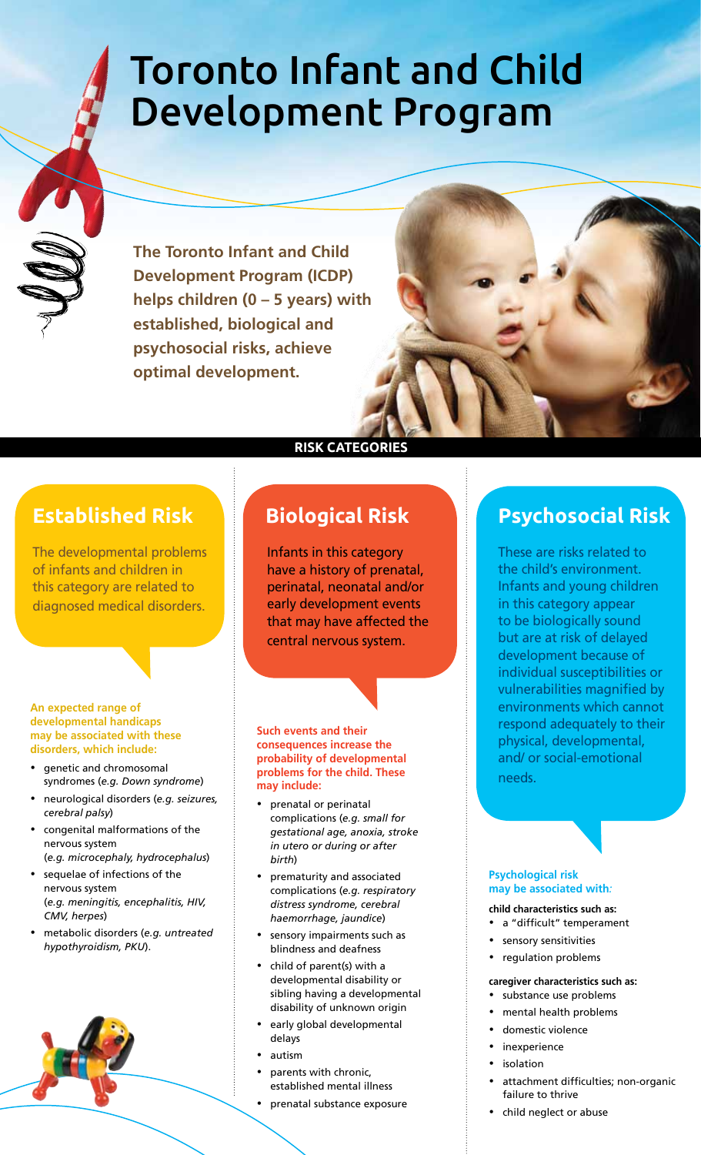# Toronto Infant and Child Development Program

**The Toronto Infant and Child Development Program (ICDP) helps children (0 – 5 years) with established, biological and psychosocial risks, achieve optimal development.**

### **Established Risk**

The developmental problems of infants and children in this category are related to diagnosed medical disorders.

#### **An expected range of developmental handicaps may be associated with these disorders, which include:**

- genetic and chromosomal syndromes (*e.g. Down syndrome*)
- y neurological disorders (*e.g. seizures, cerebral palsy*)
- congenital malformations of the nervous system (*e.g. microcephaly, hydrocephalus*)
- sequelae of infections of the nervous system (*e.g. meningitis, encephalitis, HIV, CMV, herpes*)
- y metabolic disorders (*e.g. untreated hypothyroidism, PKU*).



#### **Risk Categories**

### **Biological Risk**

Infants in this category have a history of prenatal, perinatal, neonatal and/or early development events that may have affected the central nervous system.

#### **Such events and their consequences increase the probability of developmental problems for the child. These may include:**

- prenatal or perinatal complications (*e.g. small for gestational age, anoxia, stroke in utero or during or after birth*)
- prematurity and associated complications (*e.g. respiratory distress syndrome, cerebral haemorrhage, jaundice*)
- sensory impairments such as blindness and deafness
- child of parent(s) with a developmental disability or sibling having a developmental disability of unknown origin
- early global developmental delays
- autism
- parents with chronic, established mental illness
- prenatal substance exposure

# **Psychosocial Risk**

These are risks related to the child's environment. Infants and young children in this category appear to be biologically sound but are at risk of delayed development because of individual susceptibilities or vulnerabilities magnified by environments which cannot respond adequately to their physical, developmental, and/ or social-emotional needs.

#### **Psychological risk may be associated with***:*

- **child characteristics such as:**
- a "difficult" temperament
- sensory sensitivities • regulation problems
- 

#### **caregiver characteristics such as:**

- substance use problems
- mental health problems
- domestic violence
- inexperience
- isolation
- attachment difficulties; non-organic failure to thrive
- child neglect or abuse